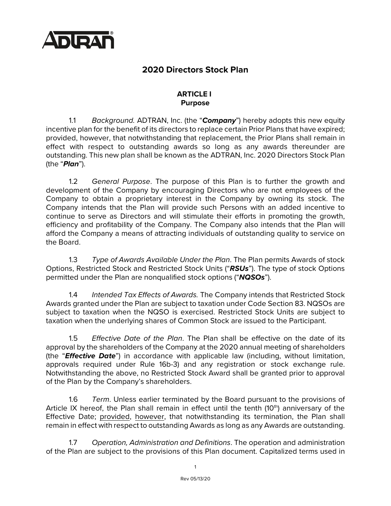

# **2020 Directors Stock Plan**

### **ARTICLE I Purpose**

1.1 *Background.* ADTRAN, Inc. (the "*Company*") hereby adopts this new equity incentive plan for the benefit of its directors to replace certain Prior Plans that have expired; provided, however, that notwithstanding that replacement, the Prior Plans shall remain in effect with respect to outstanding awards so long as any awards thereunder are outstanding. This new plan shall be known as the ADTRAN, Inc. 2020 Directors Stock Plan (the "*Plan*").

1.2 *General Purpose*. The purpose of this Plan is to further the growth and development of the Company by encouraging Directors who are not employees of the Company to obtain a proprietary interest in the Company by owning its stock. The Company intends that the Plan will provide such Persons with an added incentive to continue to serve as Directors and will stimulate their efforts in promoting the growth, efficiency and profitability of the Company. The Company also intends that the Plan will afford the Company a means of attracting individuals of outstanding quality to service on the Board.

1.3 *Type of Awards Available Under the Plan*. The Plan permits Awards of stock Options, Restricted Stock and Restricted Stock Units ("*RSUs*"). The type of stock Options permitted under the Plan are nonqualified stock options ("*NQSOs*").

1.4 *Intended Tax Effects of Awards.* The Company intends that Restricted Stock Awards granted under the Plan are subject to taxation under Code Section 83. NQSOs are subject to taxation when the NQSO is exercised. Restricted Stock Units are subject to taxation when the underlying shares of Common Stock are issued to the Participant.

1.5 *Effective Date of the Plan*. The Plan shall be effective on the date of its approval by the shareholders of the Company at the 2020 annual meeting of shareholders (the "*Effective Date*") in accordance with applicable law (including, without limitation, approvals required under Rule 16b-3) and any registration or stock exchange rule. Notwithstanding the above, no Restricted Stock Award shall be granted prior to approval of the Plan by the Company's shareholders.

1.6 *Term*. Unless earlier terminated by the Board pursuant to the provisions of Article IX hereof, the Plan shall remain in effect until the tenth  $(10<sup>th</sup>)$  anniversary of the Effective Date; provided, however, that notwithstanding its termination, the Plan shall remain in effect with respect to outstanding Awards as long as any Awards are outstanding.

1.7 *Operation, Administration and Definitions*. The operation and administration of the Plan are subject to the provisions of this Plan document. Capitalized terms used in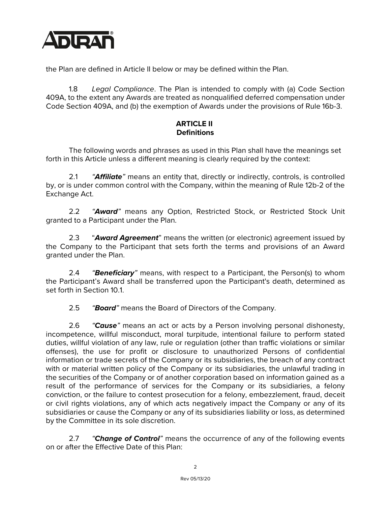

the Plan are defined in Article II below or may be defined within the Plan.

1.8 *Legal Compliance*. The Plan is intended to comply with (a) Code Section 409A, to the extent any Awards are treated as nonqualified deferred compensation under Code Section 409A, and (b) the exemption of Awards under the provisions of Rule 16b-3.

## **ARTICLE II Definitions**

The following words and phrases as used in this Plan shall have the meanings set forth in this Article unless a different meaning is clearly required by the context:

2.1 *"Affiliate"* means an entity that, directly or indirectly, controls, is controlled by, or is under common control with the Company, within the meaning of Rule 12b-2 of the Exchange Act.

2.2 *"Award"* means any Option, Restricted Stock, or Restricted Stock Unit granted to a Participant under the Plan.

2.3 "*Award Agreement*" means the written (or electronic) agreement issued by the Company to the Participant that sets forth the terms and provisions of an Award granted under the Plan.

2.4 *"Beneficiary"* means, with respect to a Participant, the Person(s) to whom the Participant's Award shall be transferred upon the Participant's death, determined as set forth in Section 10.1.

2.5 *"Board"* means the Board of Directors of the Company.

2.6 *"Cause"* means an act or acts by a Person involving personal dishonesty, incompetence, willful misconduct, moral turpitude, intentional failure to perform stated duties, willful violation of any law, rule or regulation (other than traffic violations or similar offenses), the use for profit or disclosure to unauthorized Persons of confidential information or trade secrets of the Company or its subsidiaries, the breach of any contract with or material written policy of the Company or its subsidiaries, the unlawful trading in the securities of the Company or of another corporation based on information gained as a result of the performance of services for the Company or its subsidiaries, a felony conviction, or the failure to contest prosecution for a felony, embezzlement, fraud, deceit or civil rights violations, any of which acts negatively impact the Company or any of its subsidiaries or cause the Company or any of its subsidiaries liability or loss, as determined by the Committee in its sole discretion.

2.7 *"Change of Control"* means the occurrence of any of the following events on or after the Effective Date of this Plan: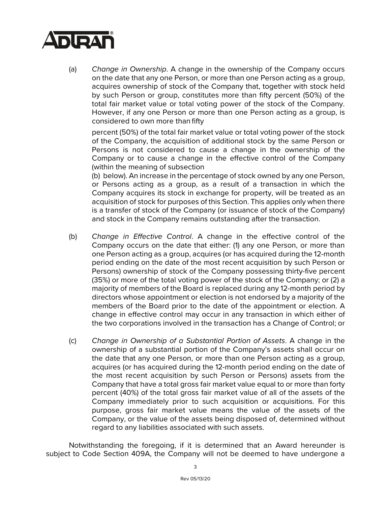

(a) *Change in Ownership*. A change in the ownership of the Company occurs on the date that any one Person, or more than one Person acting as a group, acquires ownership of stock of the Company that, together with stock held by such Person or group, constitutes more than fifty percent (50%) of the total fair market value or total voting power of the stock of the Company. However, if any one Person or more than one Person acting as a group, is considered to own more than fifty

percent (50%) of the total fair market value or total voting power of the stock of the Company, the acquisition of additional stock by the same Person or Persons is not considered to cause a change in the ownership of the Company or to cause a change in the effective control of the Company (within the meaning of subsection

(b) below). An increase in the percentage of stock owned by any one Person, or Persons acting as a group, as a result of a transaction in which the Company acquires its stock in exchange for property, will be treated as an acquisition of stock for purposes of this Section. This applies only when there is a transfer of stock of the Company (or issuance of stock of the Company) and stock in the Company remains outstanding after the transaction.

- (b) *Change in Effective Control*. A change in the effective control of the Company occurs on the date that either: (1) any one Person, or more than one Person acting as a group, acquires (or has acquired during the 12-month period ending on the date of the most recent acquisition by such Person or Persons) ownership of stock of the Company possessing thirty-five percent (35%) or more of the total voting power of the stock of the Company; or (2) a majority of members of the Board is replaced during any 12-month period by directors whose appointment or election is not endorsed by a majority of the members of the Board prior to the date of the appointment or election. A change in effective control may occur in any transaction in which either of the two corporations involved in the transaction has a Change of Control; or
- (c) *Change in Ownership of a Substantial Portion of Assets*. A change in the ownership of a substantial portion of the Company's assets shall occur on the date that any one Person, or more than one Person acting as a group, acquires (or has acquired during the 12-month period ending on the date of the most recent acquisition by such Person or Persons) assets from the Company that have a total gross fair market value equal to or more than forty percent (40%) of the total gross fair market value of all of the assets of the Company immediately prior to such acquisition or acquisitions. For this purpose, gross fair market value means the value of the assets of the Company, or the value of the assets being disposed of, determined without regard to any liabilities associated with such assets.

Notwithstanding the foregoing, if it is determined that an Award hereunder is subject to Code Section 409A, the Company will not be deemed to have undergone a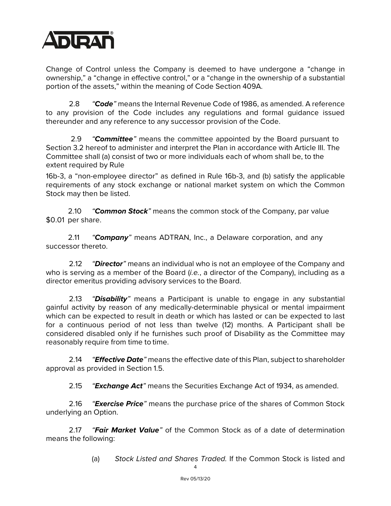

Change of Control unless the Company is deemed to have undergone a "change in ownership," a "change in effective control," or a "change in the ownership of a substantial portion of the assets," within the meaning of Code Section 409A.

2.8 *"Code"* means the Internal Revenue Code of 1986, as amended. A reference to any provision of the Code includes any regulations and formal guidance issued thereunder and any reference to any successor provision of the Code.

2.9 *"Committee"* means the committee appointed by the Board pursuant to Section 3.2 hereof to administer and interpret the Plan in accordance with Article III. The Committee shall (a) consist of two or more individuals each of whom shall be, to the extent required by Rule

16b-3, a "non-employee director" as defined in Rule 16b-3, and (b) satisfy the applicable requirements of any stock exchange or national market system on which the Common Stock may then be listed.

2.10 *"Common Stock"* means the common stock of the Company, par value \$0.01 per share.

2.11 *"Company"* means ADTRAN, Inc., a Delaware corporation, and any successor thereto.

2.12 *"Director"* means an individual who is not an employee of the Company and who is serving as a member of the Board (*i.e.*, a director of the Company), including as a director emeritus providing advisory services to the Board.

2.13 *"Disability"* means a Participant is unable to engage in any substantial gainful activity by reason of any medically-determinable physical or mental impairment which can be expected to result in death or which has lasted or can be expected to last for a continuous period of not less than twelve (12) months. A Participant shall be considered disabled only if he furnishes such proof of Disability as the Committee may reasonably require from time to time.

2.14 *"Effective Date"* means the effective date of this Plan, subject to shareholder approval as provided in Section 1.5.

2.15 *"Exchange Act"* means the Securities Exchange Act of 1934, as amended.

2.16 *"Exercise Price"* means the purchase price of the shares of Common Stock underlying an Option.

2.17 *"Fair Market Value"* of the Common Stock as of a date of determination means the following:

(a) *Stock Listed and Shares Traded.* If the Common Stock is listed and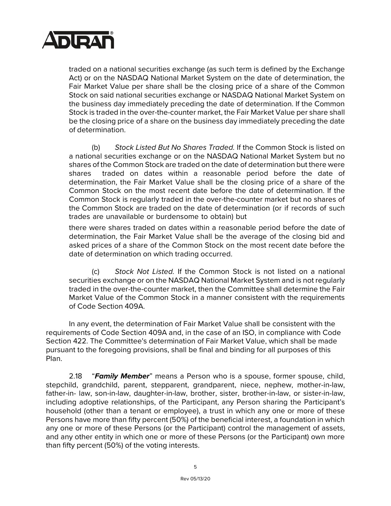

traded on a national securities exchange (as such term is defined by the Exchange Act) or on the NASDAQ National Market System on the date of determination, the Fair Market Value per share shall be the closing price of a share of the Common Stock on said national securities exchange or NASDAQ National Market System on the business day immediately preceding the date of determination. If the Common Stock is traded in the over-the-counter market, the Fair Market Value per share shall be the closing price of a share on the business day immediately preceding the date of determination.

(b) *Stock Listed But No Shares Traded.* If the Common Stock is listed on a national securities exchange or on the NASDAQ National Market System but no shares of the Common Stock are traded on the date of determination but there were shares traded on dates within a reasonable period before the date of determination, the Fair Market Value shall be the closing price of a share of the Common Stock on the most recent date before the date of determination. If the Common Stock is regularly traded in the over-the-counter market but no shares of the Common Stock are traded on the date of determination (or if records of such trades are unavailable or burdensome to obtain) but

there were shares traded on dates within a reasonable period before the date of determination, the Fair Market Value shall be the average of the closing bid and asked prices of a share of the Common Stock on the most recent date before the date of determination on which trading occurred.

(c) *Stock Not Listed.* If the Common Stock is not listed on a national securities exchange or on the NASDAQ National Market System and is not regularly traded in the over-the-counter market, then the Committee shall determine the Fair Market Value of the Common Stock in a manner consistent with the requirements of Code Section 409A.

In any event, the determination of Fair Market Value shall be consistent with the requirements of Code Section 409A and, in the case of an ISO, in compliance with Code Section 422. The Committee's determination of Fair Market Value, which shall be made pursuant to the foregoing provisions, shall be final and binding for all purposes of this Plan.

2.18 "*Family Member*" means a Person who is a spouse, former spouse, child, stepchild, grandchild, parent, stepparent, grandparent, niece, nephew, mother-in-law, father-in- law, son-in-law, daughter-in-law, brother, sister, brother-in-law, or sister-in-law, including adoptive relationships, of the Participant, any Person sharing the Participant's household (other than a tenant or employee), a trust in which any one or more of these Persons have more than fifty percent (50%) of the beneficial interest, a foundation in which any one or more of these Persons (or the Participant) control the management of assets, and any other entity in which one or more of these Persons (or the Participant) own more than fifty percent (50%) of the voting interests.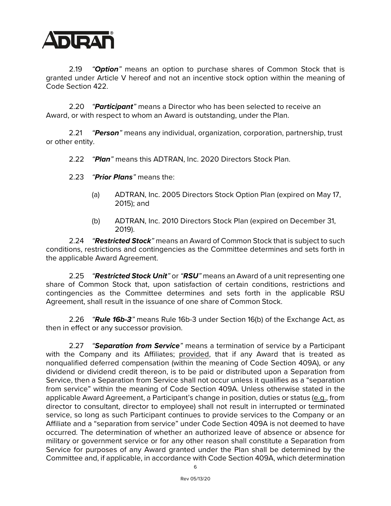

2.19 *"Option"* means an option to purchase shares of Common Stock that is granted under Article V hereof and not an incentive stock option within the meaning of Code Section 422.

2.20 *"Participant"* means a Director who has been selected to receive an Award, or with respect to whom an Award is outstanding, under the Plan.

2.21 *"Person"* means any individual, organization, corporation, partnership, trust or other entity.

2.22 *"Plan"* means this ADTRAN, Inc. 2020 Directors Stock Plan.

- 2.23 *"Prior Plans"* means the:
	- (a) ADTRAN, Inc. 2005 Directors Stock Option Plan (expired on May 17, 2015); and
	- (b) ADTRAN, Inc. 2010 Directors Stock Plan (expired on December 31, 2019).

2.24 *"Restricted Stock"* means an Award of Common Stock that is subject to such conditions, restrictions and contingencies as the Committee determines and sets forth in the applicable Award Agreement.

2.25 *"Restricted Stock Unit"* or *"RSU"* means an Award of a unit representing one share of Common Stock that, upon satisfaction of certain conditions, restrictions and contingencies as the Committee determines and sets forth in the applicable RSU Agreement, shall result in the issuance of one share of Common Stock.

2.26 *"Rule 16b-3"* means Rule 16b-3 under Section 16(b) of the Exchange Act, as then in effect or any successor provision.

2.27 *"Separation from Service"* means a termination of service by a Participant with the Company and its Affiliates; provided, that if any Award that is treated as nonqualified deferred compensation (within the meaning of Code Section 409A), or any dividend or dividend credit thereon, is to be paid or distributed upon a Separation from Service, then a Separation from Service shall not occur unless it qualifies as a "separation from service" within the meaning of Code Section 409A. Unless otherwise stated in the applicable Award Agreement, a Participant's change in position, duties or status (e.g., from director to consultant, director to employee) shall not result in interrupted or terminated service, so long as such Participant continues to provide services to the Company or an Affiliate and a "separation from service" under Code Section 409A is not deemed to have occurred. The determination of whether an authorized leave of absence or absence for military or government service or for any other reason shall constitute a Separation from Service for purposes of any Award granted under the Plan shall be determined by the Committee and, if applicable, in accordance with Code Section 409A, which determination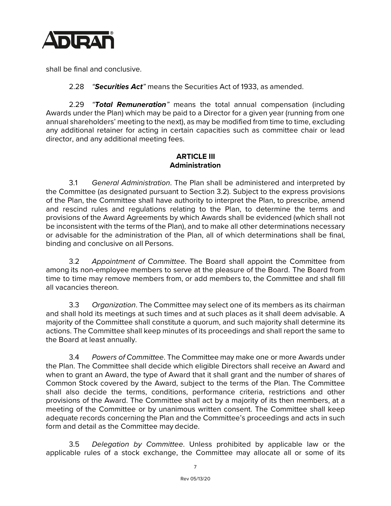

shall be final and conclusive.

2.28 *"Securities Act"* means the Securities Act of 1933, as amended.

2.29 *"Total Remuneration"* means the total annual compensation (including Awards under the Plan) which may be paid to a Director for a given year (running from one annual shareholders' meeting to the next), as may be modified from time to time, excluding any additional retainer for acting in certain capacities such as committee chair or lead director, and any additional meeting fees.

# **ARTICLE III Administration**

3.1 *General Administration*. The Plan shall be administered and interpreted by the Committee (as designated pursuant to Section 3.2). Subject to the express provisions of the Plan, the Committee shall have authority to interpret the Plan, to prescribe, amend and rescind rules and regulations relating to the Plan, to determine the terms and provisions of the Award Agreements by which Awards shall be evidenced (which shall not be inconsistent with the terms of the Plan), and to make all other determinations necessary or advisable for the administration of the Plan, all of which determinations shall be final, binding and conclusive on all Persons.

3.2 *Appointment of Committee*. The Board shall appoint the Committee from among its non-employee members to serve at the pleasure of the Board. The Board from time to time may remove members from, or add members to, the Committee and shall fill all vacancies thereon.

3.3 *Organization*. The Committee may select one of its members as its chairman and shall hold its meetings at such times and at such places as it shall deem advisable. A majority of the Committee shall constitute a quorum, and such majority shall determine its actions. The Committee shall keep minutes of its proceedings and shall report the same to the Board at least annually.

3.4 *Powers of Committee*. The Committee may make one or more Awards under the Plan. The Committee shall decide which eligible Directors shall receive an Award and when to grant an Award, the type of Award that it shall grant and the number of shares of Common Stock covered by the Award, subject to the terms of the Plan. The Committee shall also decide the terms, conditions, performance criteria, restrictions and other provisions of the Award. The Committee shall act by a majority of its then members, at a meeting of the Committee or by unanimous written consent. The Committee shall keep adequate records concerning the Plan and the Committee's proceedings and acts in such form and detail as the Committee may decide.

3.5 *Delegation by Committee*. Unless prohibited by applicable law or the applicable rules of a stock exchange, the Committee may allocate all or some of its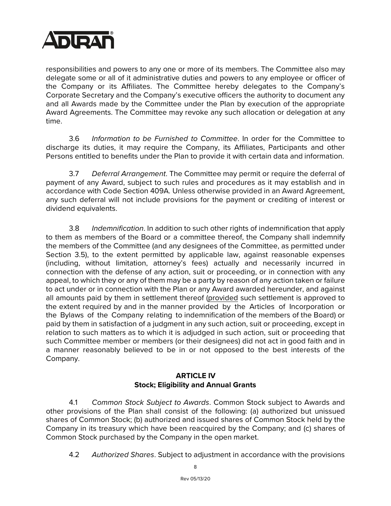

responsibilities and powers to any one or more of its members. The Committee also may delegate some or all of it administrative duties and powers to any employee or officer of the Company or its Affiliates. The Committee hereby delegates to the Company's Corporate Secretary and the Company's executive officers the authority to document any and all Awards made by the Committee under the Plan by execution of the appropriate Award Agreements. The Committee may revoke any such allocation or delegation at any time.

3.6 *Information to be Furnished to Committee*. In order for the Committee to discharge its duties, it may require the Company, its Affiliates, Participants and other Persons entitled to benefits under the Plan to provide it with certain data and information.

3.7 *Deferral Arrangement*. The Committee may permit or require the deferral of payment of any Award, subject to such rules and procedures as it may establish and in accordance with Code Section 409A. Unless otherwise provided in an Award Agreement, any such deferral will not include provisions for the payment or crediting of interest or dividend equivalents.

3.8 *Indemnification*. In addition to such other rights of indemnification that apply to them as members of the Board or a committee thereof, the Company shall indemnify the members of the Committee (and any designees of the Committee, as permitted under Section 3.5), to the extent permitted by applicable law, against reasonable expenses (including, without limitation, attorney's fees) actually and necessarily incurred in connection with the defense of any action, suit or proceeding, or in connection with any appeal, to which they or any of them may be a party by reason of any action taken or failure to act under or in connection with the Plan or any Award awarded hereunder, and against all amounts paid by them in settlement thereof (provided such settlement is approved to the extent required by and in the manner provided by the Articles of Incorporation or the Bylaws of the Company relating to indemnification of the members of the Board) or paid by them in satisfaction of a judgment in any such action, suit or proceeding, except in relation to such matters as to which it is adjudged in such action, suit or proceeding that such Committee member or members (or their designees) did not act in good faith and in a manner reasonably believed to be in or not opposed to the best interests of the Company.

## **ARTICLE IV Stock; Eligibility and Annual Grants**

4.1 *Common Stock Subject to Awards*. Common Stock subject to Awards and other provisions of the Plan shall consist of the following: (a) authorized but unissued shares of Common Stock; (b) authorized and issued shares of Common Stock held by the Company in its treasury which have been reacquired by the Company; and (c) shares of Common Stock purchased by the Company in the open market.

4.2 *Authorized Shares*. Subject to adjustment in accordance with the provisions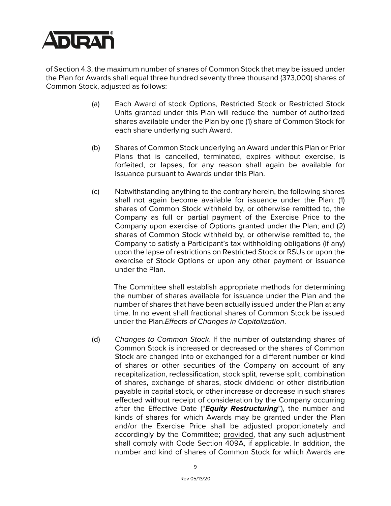

of Section 4.3, the maximum number of shares of Common Stock that may be issued under the Plan for Awards shall equal three hundred seventy three thousand (373,000) shares of Common Stock, adjusted as follows:

- (a) Each Award of stock Options, Restricted Stock or Restricted Stock Units granted under this Plan will reduce the number of authorized shares available under the Plan by one (1) share of Common Stock for each share underlying such Award.
- (b) Shares of Common Stock underlying an Award under this Plan or Prior Plans that is cancelled, terminated, expires without exercise, is forfeited, or lapses, for any reason shall again be available for issuance pursuant to Awards under this Plan.
- (c) Notwithstanding anything to the contrary herein, the following shares shall not again become available for issuance under the Plan: (1) shares of Common Stock withheld by, or otherwise remitted to, the Company as full or partial payment of the Exercise Price to the Company upon exercise of Options granted under the Plan; and (2) shares of Common Stock withheld by, or otherwise remitted to, the Company to satisfy a Participant's tax withholding obligations (if any) upon the lapse of restrictions on Restricted Stock or RSUs or upon the exercise of Stock Options or upon any other payment or issuance under the Plan.

The Committee shall establish appropriate methods for determining the number of shares available for issuance under the Plan and the number of shares that have been actually issued under the Plan at any time. In no event shall fractional shares of Common Stock be issued under the Plan.*Effects of Changes in Capitalization*.

(d) *Changes to Common Stock*. If the number of outstanding shares of Common Stock is increased or decreased or the shares of Common Stock are changed into or exchanged for a different number or kind of shares or other securities of the Company on account of any recapitalization, reclassification, stock split, reverse split, combination of shares, exchange of shares, stock dividend or other distribution payable in capital stock, or other increase or decrease in such shares effected without receipt of consideration by the Company occurring after the Effective Date ("*Equity Restructuring*"), the number and kinds of shares for which Awards may be granted under the Plan and/or the Exercise Price shall be adjusted proportionately and accordingly by the Committee; provided, that any such adjustment shall comply with Code Section 409A, if applicable. In addition, the number and kind of shares of Common Stock for which Awards are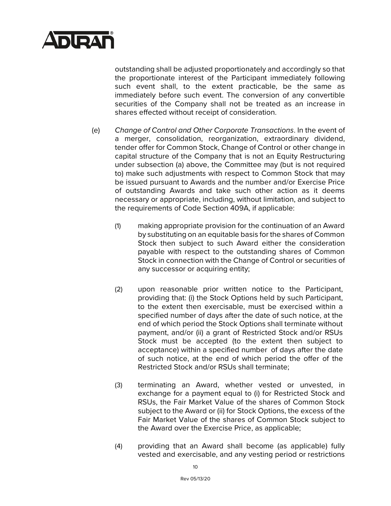

outstanding shall be adjusted proportionately and accordingly so that the proportionate interest of the Participant immediately following such event shall, to the extent practicable, be the same as immediately before such event. The conversion of any convertible securities of the Company shall not be treated as an increase in shares effected without receipt of consideration.

- (e) *Change of Control and Other Corporate Transactions*. In the event of a merger, consolidation, reorganization, extraordinary dividend, tender offer for Common Stock, Change of Control or other change in capital structure of the Company that is not an Equity Restructuring under subsection (a) above, the Committee may (but is not required to) make such adjustments with respect to Common Stock that may be issued pursuant to Awards and the number and/or Exercise Price of outstanding Awards and take such other action as it deems necessary or appropriate, including, without limitation, and subject to the requirements of Code Section 409A, if applicable:
	- (1) making appropriate provision for the continuation of an Award by substituting on an equitable basis for the shares of Common Stock then subject to such Award either the consideration payable with respect to the outstanding shares of Common Stock in connection with the Change of Control or securities of any successor or acquiring entity;
	- (2) upon reasonable prior written notice to the Participant, providing that: (i) the Stock Options held by such Participant, to the extent then exercisable, must be exercised within a specified number of days after the date of such notice, at the end of which period the Stock Options shall terminate without payment, and/or (ii) a grant of Restricted Stock and/or RSUs Stock must be accepted (to the extent then subject to acceptance) within a specified number of days after the date of such notice, at the end of which period the offer of the Restricted Stock and/or RSUs shall terminate;
	- (3) terminating an Award, whether vested or unvested, in exchange for a payment equal to (i) for Restricted Stock and RSUs, the Fair Market Value of the shares of Common Stock subject to the Award or (ii) for Stock Options, the excess of the Fair Market Value of the shares of Common Stock subject to the Award over the Exercise Price, as applicable;
	- (4) providing that an Award shall become (as applicable) fully vested and exercisable, and any vesting period or restrictions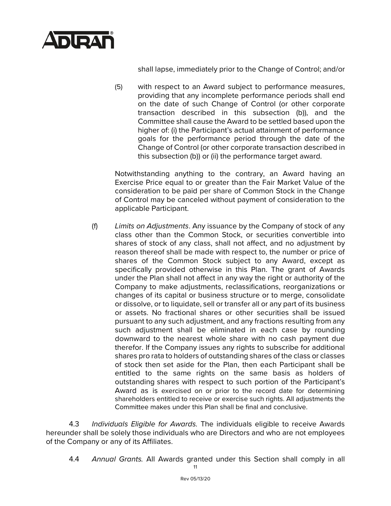

shall lapse, immediately prior to the Change of Control; and/or

(5) with respect to an Award subject to performance measures, providing that any incomplete performance periods shall end on the date of such Change of Control (or other corporate transaction described in this subsection (b)), and the Committee shall cause the Award to be settled based upon the higher of: (i) the Participant's actual attainment of performance goals for the performance period through the date of the Change of Control (or other corporate transaction described in this subsection (b)) or (ii) the performance target award.

Notwithstanding anything to the contrary, an Award having an Exercise Price equal to or greater than the Fair Market Value of the consideration to be paid per share of Common Stock in the Change of Control may be canceled without payment of consideration to the applicable Participant.

(f) *Limits on Adjustments*. Any issuance by the Company of stock of any class other than the Common Stock, or securities convertible into shares of stock of any class, shall not affect, and no adjustment by reason thereof shall be made with respect to, the number or price of shares of the Common Stock subject to any Award, except as specifically provided otherwise in this Plan. The grant of Awards under the Plan shall not affect in any way the right or authority of the Company to make adjustments, reclassifications, reorganizations or changes of its capital or business structure or to merge, consolidate or dissolve, or to liquidate, sell or transfer all or any part of its business or assets. No fractional shares or other securities shall be issued pursuant to any such adjustment, and any fractions resulting from any such adjustment shall be eliminated in each case by rounding downward to the nearest whole share with no cash payment due therefor. If the Company issues any rights to subscribe for additional shares pro rata to holders of outstanding shares of the class or classes of stock then set aside for the Plan, then each Participant shall be entitled to the same rights on the same basis as holders of outstanding shares with respect to such portion of the Participant's Award as is exercised on or prior to the record date for determining shareholders entitled to receive or exercise such rights. All adjustments the Committee makes under this Plan shall be final and conclusive.

4.3 *Individuals Eligible for Awards.* The individuals eligible to receive Awards hereunder shall be solely those individuals who are Directors and who are not employees of the Company or any of its Affiliates.

4.4 *Annual Grants.* All Awards granted under this Section shall comply in all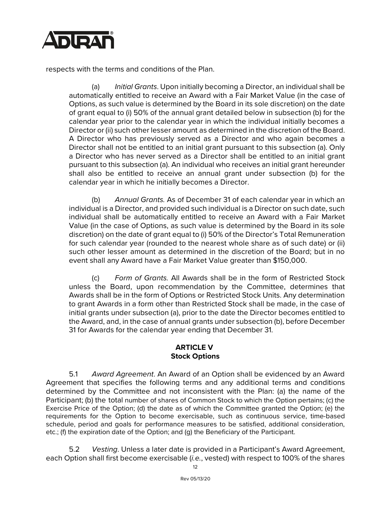

respects with the terms and conditions of the Plan.

(a) *Initial Grants*. Upon initially becoming a Director, an individual shall be automatically entitled to receive an Award with a Fair Market Value (in the case of Options, as such value is determined by the Board in its sole discretion) on the date of grant equal to (i) 50% of the annual grant detailed below in subsection (b) for the calendar year prior to the calendar year in which the individual initially becomes a Director or (ii) such other lesser amount as determined in the discretion of the Board. A Director who has previously served as a Director and who again becomes a Director shall not be entitled to an initial grant pursuant to this subsection (a). Only a Director who has never served as a Director shall be entitled to an initial grant pursuant to this subsection (a). An individual who receives an initial grant hereunder shall also be entitled to receive an annual grant under subsection (b) for the calendar year in which he initially becomes a Director.

(b) *Annual Grants.* As of December 31 of each calendar year in which an individual is a Director, and provided such individual is a Director on such date, such individual shall be automatically entitled to receive an Award with a Fair Market Value (in the case of Options, as such value is determined by the Board in its sole discretion) on the date of grant equal to (i) 50% of the Director's Total Remuneration for such calendar year (rounded to the nearest whole share as of such date) or (ii) such other lesser amount as determined in the discretion of the Board; but in no event shall any Award have a Fair Market Value greater than \$150,000.

(c) *Form of Grants.* All Awards shall be in the form of Restricted Stock unless the Board, upon recommendation by the Committee, determines that Awards shall be in the form of Options or Restricted Stock Units. Any determination to grant Awards in a form other than Restricted Stock shall be made, in the case of initial grants under subsection (a), prior to the date the Director becomes entitled to the Award, and, in the case of annual grants under subsection (b), before December 31 for Awards for the calendar year ending that December 31.

# **ARTICLE V Stock Options**

5.1 *Award Agreement*. An Award of an Option shall be evidenced by an Award Agreement that specifies the following terms and any additional terms and conditions determined by the Committee and not inconsistent with the Plan: (a) the name of the Participant; (b) the total number of shares of Common Stock to which the Option pertains; (c) the Exercise Price of the Option; (d) the date as of which the Committee granted the Option; (e) the requirements for the Option to become exercisable, such as continuous service, time-based schedule, period and goals for performance measures to be satisfied, additional consideration, etc.; (f) the expiration date of the Option; and (g) the Beneficiary of the Participant.

5.2 *Vesting*. Unless a later date is provided in a Participant's Award Agreement, each Option shall first become exercisable (*i.e.*, vested) with respect to 100% of the shares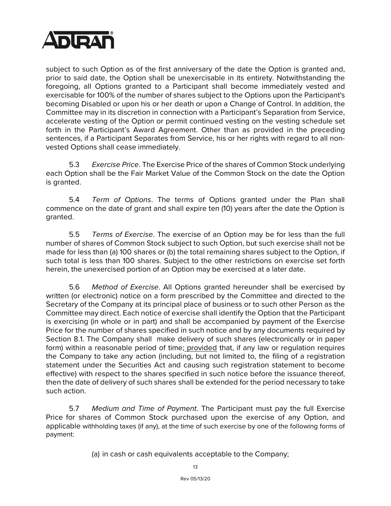

subject to such Option as of the first anniversary of the date the Option is granted and, prior to said date, the Option shall be unexercisable in its entirety. Notwithstanding the foregoing, all Options granted to a Participant shall become immediately vested and exercisable for 100% of the number of shares subject to the Options upon the Participant's becoming Disabled or upon his or her death or upon a Change of Control. In addition, the Committee may in its discretion in connection with a Participant's Separation from Service, accelerate vesting of the Option or permit continued vesting on the vesting schedule set forth in the Participant's Award Agreement. Other than as provided in the preceding sentences, if a Participant Separates from Service, his or her rights with regard to all nonvested Options shall cease immediately.

5.3 *Exercise Price*. The Exercise Price of the shares of Common Stock underlying each Option shall be the Fair Market Value of the Common Stock on the date the Option is granted.

5.4 *Term of Options*. The terms of Options granted under the Plan shall commence on the date of grant and shall expire ten (10) years after the date the Option is granted.

5.5 *Terms of Exercise*. The exercise of an Option may be for less than the full number of shares of Common Stock subject to such Option, but such exercise shall not be made for less than (a) 100 shares or (b) the total remaining shares subject to the Option, if such total is less than 100 shares. Subject to the other restrictions on exercise set forth herein, the unexercised portion of an Option may be exercised at a later date.

5.6 *Method of Exercise*. All Options granted hereunder shall be exercised by written (or electronic) notice on a form prescribed by the Committee and directed to the Secretary of the Company at its principal place of business or to such other Person as the Committee may direct. Each notice of exercise shall identify the Option that the Participant is exercising (in whole or in part) and shall be accompanied by payment of the Exercise Price for the number of shares specified in such notice and by any documents required by Section 8.1. The Company shall make delivery of such shares (electronically or in paper form) within a reasonable period of time; provided that, if any law or regulation requires the Company to take any action (including, but not limited to, the filing of a registration statement under the Securities Act and causing such registration statement to become effective) with respect to the shares specified in such notice before the issuance thereof, then the date of delivery of such shares shall be extended for the period necessary to take such action.

5.7 *Medium and Time of Payment*. The Participant must pay the full Exercise Price for shares of Common Stock purchased upon the exercise of any Option, and applicable withholding taxes (if any), at the time of such exercise by one of the following forms of payment:

(a) in cash or cash equivalents acceptable to the Company;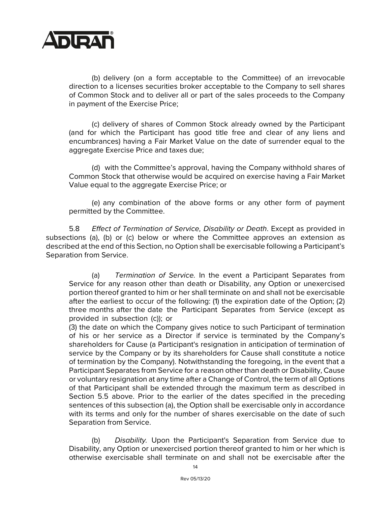

(b) delivery (on a form acceptable to the Committee) of an irrevocable direction to a licenses securities broker acceptable to the Company to sell shares of Common Stock and to deliver all or part of the sales proceeds to the Company in payment of the Exercise Price;

(c) delivery of shares of Common Stock already owned by the Participant (and for which the Participant has good title free and clear of any liens and encumbrances) having a Fair Market Value on the date of surrender equal to the aggregate Exercise Price and taxes due;

(d) with the Committee's approval, having the Company withhold shares of Common Stock that otherwise would be acquired on exercise having a Fair Market Value equal to the aggregate Exercise Price; or

(e) any combination of the above forms or any other form of payment permitted by the Committee.

5.8 *Effect of Termination of Service, Disability or Death*. Except as provided in subsections (a), (b) or (c) below or where the Committee approves an extension as described at the end of this Section, no Option shall be exercisable following a Participant's Separation from Service.

(a) *Termination of Service.* In the event a Participant Separates from Service for any reason other than death or Disability, any Option or unexercised portion thereof granted to him or her shall terminate on and shall not be exercisable after the earliest to occur of the following: (1) the expiration date of the Option; (2) three months after the date the Participant Separates from Service (except as provided in subsection (c)); or

(3) the date on which the Company gives notice to such Participant of termination of his or her service as a Director if service is terminated by the Company's shareholders for Cause (a Participant's resignation in anticipation of termination of service by the Company or by its shareholders for Cause shall constitute a notice of termination by the Company). Notwithstanding the foregoing, in the event that a Participant Separates from Service for a reason other than death or Disability, Cause or voluntary resignation at any time after a Change of Control, the term of all Options of that Participant shall be extended through the maximum term as described in Section 5.5 above. Prior to the earlier of the dates specified in the preceding sentences of this subsection (a), the Option shall be exercisable only in accordance with its terms and only for the number of shares exercisable on the date of such Separation from Service.

(b) *Disability.* Upon the Participant's Separation from Service due to Disability, any Option or unexercised portion thereof granted to him or her which is otherwise exercisable shall terminate on and shall not be exercisable after the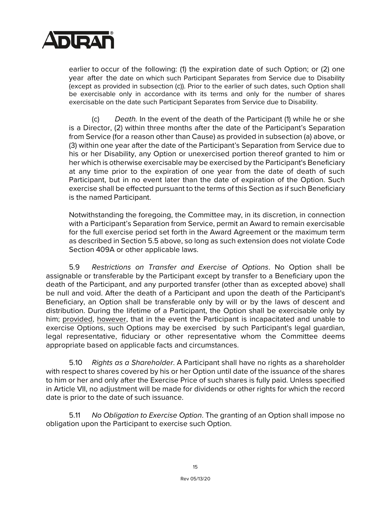

earlier to occur of the following: (1) the expiration date of such Option; or (2) one year after the date on which such Participant Separates from Service due to Disability (except as provided in subsection (c)). Prior to the earlier of such dates, such Option shall be exercisable only in accordance with its terms and only for the number of shares exercisable on the date such Participant Separates from Service due to Disability.

(c) *Death.* In the event of the death of the Participant (1) while he or she is a Director, (2) within three months after the date of the Participant's Separation from Service (for a reason other than Cause) as provided in subsection (a) above, or (3) within one year after the date of the Participant's Separation from Service due to his or her Disability, any Option or unexercised portion thereof granted to him or her which is otherwise exercisable may be exercised by the Participant's Beneficiary at any time prior to the expiration of one year from the date of death of such Participant, but in no event later than the date of expiration of the Option. Such exercise shall be effected pursuant to the terms of this Section as if such Beneficiary is the named Participant.

Notwithstanding the foregoing, the Committee may, in its discretion, in connection with a Participant's Separation from Service, permit an Award to remain exercisable for the full exercise period set forth in the Award Agreement or the maximum term as described in Section 5.5 above, so long as such extension does not violate Code Section 409A or other applicable laws.

5.9 *Restrictions on Transfer and Exercise of Options*. No Option shall be assignable or transferable by the Participant except by transfer to a Beneficiary upon the death of the Participant, and any purported transfer (other than as excepted above) shall be null and void. After the death of a Participant and upon the death of the Participant's Beneficiary, an Option shall be transferable only by will or by the laws of descent and distribution. During the lifetime of a Participant, the Option shall be exercisable only by him; provided, however, that in the event the Participant is incapacitated and unable to exercise Options, such Options may be exercised by such Participant's legal guardian, legal representative, fiduciary or other representative whom the Committee deems appropriate based on applicable facts and circumstances.

5.10 *Rights as a Shareholder*. A Participant shall have no rights as a shareholder with respect to shares covered by his or her Option until date of the issuance of the shares to him or her and only after the Exercise Price of such shares is fully paid. Unless specified in Article VII, no adjustment will be made for dividends or other rights for which the record date is prior to the date of such issuance.

5.11 *No Obligation to Exercise Option*. The granting of an Option shall impose no obligation upon the Participant to exercise such Option.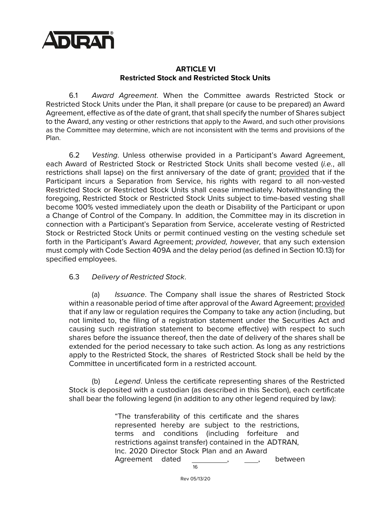

#### **ARTICLE VI Restricted Stock and Restricted Stock Units**

6.1 *Award Agreement*. When the Committee awards Restricted Stock or Restricted Stock Units under the Plan, it shall prepare (or cause to be prepared) an Award Agreement, effective as of the date of grant, that shall specify the number of Shares subject to the Award, any vesting or other restrictions that apply to the Award, and such other provisions as the Committee may determine, which are not inconsistent with the terms and provisions of the Plan.

6.2 *Vesting*. Unless otherwise provided in a Participant's Award Agreement, each Award of Restricted Stock or Restricted Stock Units shall become vested (*i.e.*, all restrictions shall lapse) on the first anniversary of the date of grant; provided that if the Participant incurs a Separation from Service, his rights with regard to all non-vested Restricted Stock or Restricted Stock Units shall cease immediately. Notwithstanding the foregoing, Restricted Stock or Restricted Stock Units subject to time-based vesting shall become 100% vested immediately upon the death or Disability of the Participant or upon a Change of Control of the Company. In addition, the Committee may in its discretion in connection with a Participant's Separation from Service, accelerate vesting of Restricted Stock or Restricted Stock Units or permit continued vesting on the vesting schedule set forth in the Participant's Award Agreement; *provided, however,* that any such extension must comply with Code Section 409A and the delay period (as defined in Section 10.13) for specified employees.

#### 6.3 *Delivery of Restricted Stock*.

(a) *Issuance*. The Company shall issue the shares of Restricted Stock within a reasonable period of time after approval of the Award Agreement; provided that if any law or regulation requires the Company to take any action (including, but not limited to, the filing of a registration statement under the Securities Act and causing such registration statement to become effective) with respect to such shares before the issuance thereof, then the date of delivery of the shares shall be extended for the period necessary to take such action. As long as any restrictions apply to the Restricted Stock, the shares of Restricted Stock shall be held by the Committee in uncertificated form in a restricted account.

(b) *Legend*. Unless the certificate representing shares of the Restricted Stock is deposited with a custodian (as described in this Section), each certificate shall bear the following legend (in addition to any other legend required by law):

> $1<sup>C</sup>$ "The transferability of this certificate and the shares represented hereby are subject to the restrictions, terms and conditions (including forfeiture and restrictions against transfer) contained in the ADTRAN, Inc. 2020 Director Stock Plan and an Award Agreement dated , , , between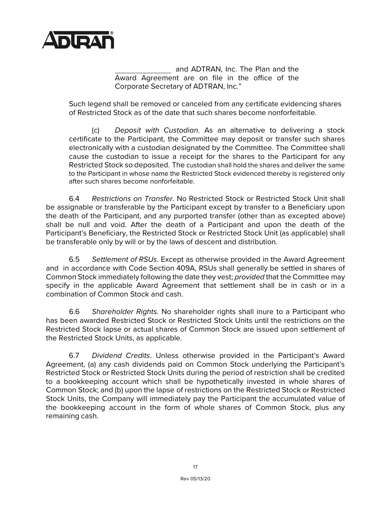

and ADTRAN, Inc. The Plan and the Award Agreement are on file in the office of the Corporate Secretary of ADTRAN, Inc."

Such legend shall be removed or canceled from any certificate evidencing shares of Restricted Stock as of the date that such shares become nonforfeitable.

(c) *Deposit with Custodian*. As an alternative to delivering a stock certificate to the Participant, the Committee may deposit or transfer such shares electronically with a custodian designated by the Committee. The Committee shall cause the custodian to issue a receipt for the shares to the Participant for any Restricted Stock so deposited. The custodian shall hold the shares and deliver the same to the Participant in whose name the Restricted Stock evidenced thereby is registered only after such shares become nonforfeitable.

6.4 *Restrictions on Transfer*. No Restricted Stock or Restricted Stock Unit shall be assignable or transferable by the Participant except by transfer to a Beneficiary upon the death of the Participant, and any purported transfer (other than as excepted above) shall be null and void. After the death of a Participant and upon the death of the Participant's Beneficiary, the Restricted Stock or Restricted Stock Unit (as applicable) shall be transferable only by will or by the laws of descent and distribution.

6.5 *Settlement of RSUs*. Except as otherwise provided in the Award Agreement and in accordance with Code Section 409A, RSUs shall generally be settled in shares of Common Stock immediately following the date they vest; *provided* that the Committee may specify in the applicable Award Agreement that settlement shall be in cash or in a combination of Common Stock and cash.

6.6 *Shareholder Rights.* No shareholder rights shall inure to a Participant who has been awarded Restricted Stock or Restricted Stock Units until the restrictions on the Restricted Stock lapse or actual shares of Common Stock are issued upon settlement of the Restricted Stock Units, as applicable.

6.7 *Dividend Credits*. Unless otherwise provided in the Participant's Award Agreement, (a) any cash dividends paid on Common Stock underlying the Participant's Restricted Stock or Restricted Stock Units during the period of restriction shall be credited to a bookkeeping account which shall be hypothetically invested in whole shares of Common Stock; and (b) upon the lapse of restrictions on the Restricted Stock or Restricted Stock Units, the Company will immediately pay the Participant the accumulated value of the bookkeeping account in the form of whole shares of Common Stock, plus any remaining cash.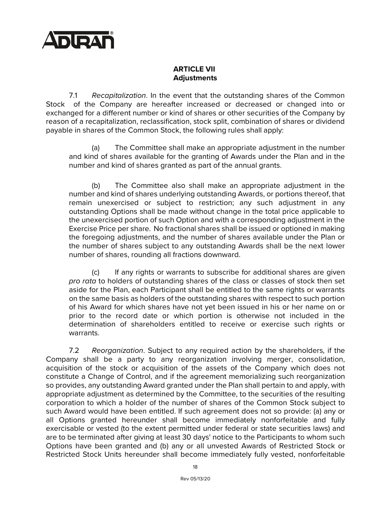

# **ARTICLE VII Adjustments**

7.1 *Recapitalization*. In the event that the outstanding shares of the Common Stock of the Company are hereafter increased or decreased or changed into or exchanged for a different number or kind of shares or other securities of the Company by reason of a recapitalization, reclassification, stock split, combination of shares or dividend payable in shares of the Common Stock, the following rules shall apply:

(a) The Committee shall make an appropriate adjustment in the number and kind of shares available for the granting of Awards under the Plan and in the number and kind of shares granted as part of the annual grants.

(b) The Committee also shall make an appropriate adjustment in the number and kind of shares underlying outstanding Awards, or portions thereof, that remain unexercised or subject to restriction; any such adjustment in any outstanding Options shall be made without change in the total price applicable to the unexercised portion of such Option and with a corresponding adjustment in the Exercise Price per share. No fractional shares shall be issued or optioned in making the foregoing adjustments, and the number of shares available under the Plan or the number of shares subject to any outstanding Awards shall be the next lower number of shares, rounding all fractions downward.

(c) If any rights or warrants to subscribe for additional shares are given *pro rata* to holders of outstanding shares of the class or classes of stock then set aside for the Plan, each Participant shall be entitled to the same rights or warrants on the same basis as holders of the outstanding shares with respect to such portion of his Award for which shares have not yet been issued in his or her name on or prior to the record date or which portion is otherwise not included in the determination of shareholders entitled to receive or exercise such rights or warrants.

7.2 *Reorganization*. Subject to any required action by the shareholders, if the Company shall be a party to any reorganization involving merger, consolidation, acquisition of the stock or acquisition of the assets of the Company which does not constitute a Change of Control, and if the agreement memorializing such reorganization so provides, any outstanding Award granted under the Plan shall pertain to and apply, with appropriate adjustment as determined by the Committee, to the securities of the resulting corporation to which a holder of the number of shares of the Common Stock subject to such Award would have been entitled. If such agreement does not so provide: (a) any or all Options granted hereunder shall become immediately nonforfeitable and fully exercisable or vested (to the extent permitted under federal or state securities laws) and are to be terminated after giving at least 30 days' notice to the Participants to whom such Options have been granted and (b) any or all unvested Awards of Restricted Stock or Restricted Stock Units hereunder shall become immediately fully vested, nonforfeitable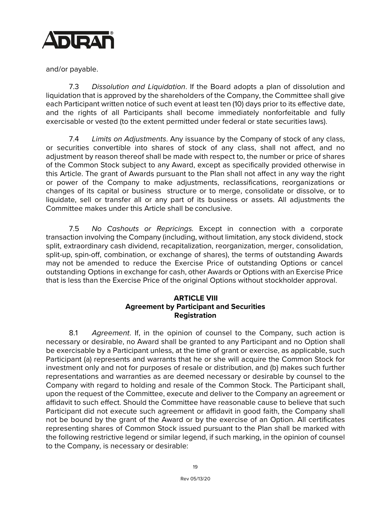

and/or payable.

7.3 *Dissolution and Liquidation*. If the Board adopts a plan of dissolution and liquidation that is approved by the shareholders of the Company, the Committee shall give each Participant written notice of such event at least ten (10) days prior to its effective date, and the rights of all Participants shall become immediately nonforfeitable and fully exercisable or vested (to the extent permitted under federal or state securities laws).

7.4 *Limits on Adjustments*. Any issuance by the Company of stock of any class, or securities convertible into shares of stock of any class, shall not affect, and no adjustment by reason thereof shall be made with respect to, the number or price of shares of the Common Stock subject to any Award, except as specifically provided otherwise in this Article. The grant of Awards pursuant to the Plan shall not affect in any way the right or power of the Company to make adjustments, reclassifications, reorganizations or changes of its capital or business structure or to merge, consolidate or dissolve, or to liquidate, sell or transfer all or any part of its business or assets. All adjustments the Committee makes under this Article shall be conclusive.

7.5 *No Cashouts or Repricings.* Except in connection with a corporate transaction involving the Company (including, without limitation, any stock dividend, stock split, extraordinary cash dividend, recapitalization, reorganization, merger, consolidation, split-up, spin-off, combination, or exchange of shares), the terms of outstanding Awards may not be amended to reduce the Exercise Price of outstanding Options or cancel outstanding Options in exchange for cash, other Awards or Options with an Exercise Price that is less than the Exercise Price of the original Options without stockholder approval.

# **ARTICLE VIII Agreement by Participant and Securities Registration**

8.1 *Agreement*. If, in the opinion of counsel to the Company, such action is necessary or desirable, no Award shall be granted to any Participant and no Option shall be exercisable by a Participant unless, at the time of grant or exercise, as applicable, such Participant (a) represents and warrants that he or she will acquire the Common Stock for investment only and not for purposes of resale or distribution, and (b) makes such further representations and warranties as are deemed necessary or desirable by counsel to the Company with regard to holding and resale of the Common Stock. The Participant shall, upon the request of the Committee, execute and deliver to the Company an agreement or affidavit to such effect. Should the Committee have reasonable cause to believe that such Participant did not execute such agreement or affidavit in good faith, the Company shall not be bound by the grant of the Award or by the exercise of an Option. All certificates representing shares of Common Stock issued pursuant to the Plan shall be marked with the following restrictive legend or similar legend, if such marking, in the opinion of counsel to the Company, is necessary or desirable: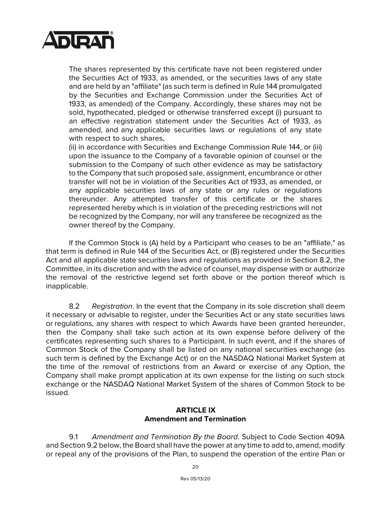

The shares represented by this certificate have not been registered under the Securities Act of 1933, as amended, or the securities laws of any state and are held by an "affiliate" (as such term is defined in Rule 144 promulgated by the Securities and Exchange Commission under the Securities Act of 1933, as amended) of the Company. Accordingly, these shares may not be sold, hypothecated, pledged or otherwise transferred except (i) pursuant to an effective registration statement under the Securities Act of 1933, as amended, and any applicable securities laws or regulations of any state with respect to such shares.

(ii) in accordance with Securities and Exchange Commission Rule 144, or (iii) upon the issuance to the Company of a favorable opinion of counsel or the submission to the Company of such other evidence as may be satisfactory to the Company that such proposed sale, assignment, encumbrance or other transfer will not be in violation of the Securities Act of 1933, as amended, or any applicable securities laws of any state or any rules or regulations thereunder. Any attempted transfer of this certificate or the shares represented hereby which is in violation of the preceding restrictions will not be recognized by the Company, nor will any transferee be recognized as the owner thereof by the Company.

If the Common Stock is (A) held by a Participant who ceases to be an "affiliate," as that term is defined in Rule 144 of the Securities Act, or (B) registered under the Securities Act and all applicable state securities laws and regulations as provided in Section 8.2, the Committee, in its discretion and with the advice of counsel, may dispense with or authorize the removal of the restrictive legend set forth above or the portion thereof which is inapplicable.

8.2 *Registration*. In the event that the Company in its sole discretion shall deem it necessary or advisable to register, under the Securities Act or any state securities laws or regulations, any shares with respect to which Awards have been granted hereunder, then the Company shall take such action at its own expense before delivery of the certificates representing such shares to a Participant. In such event, and if the shares of Common Stock of the Company shall be listed on any national securities exchange (as such term is defined by the Exchange Act) or on the NASDAQ National Market System at the time of the removal of restrictions from an Award or exercise of any Option, the Company shall make prompt application at its own expense for the listing on such stock exchange or the NASDAQ National Market System of the shares of Common Stock to be issued.

## **ARTICLE IX Amendment and Termination**

9.1 *Amendment and Termination By the Board*. Subject to Code Section 409A and Section 9.2 below, the Board shall have the power at any time to add to, amend, modify or repeal any of the provisions of the Plan, to suspend the operation of the entire Plan or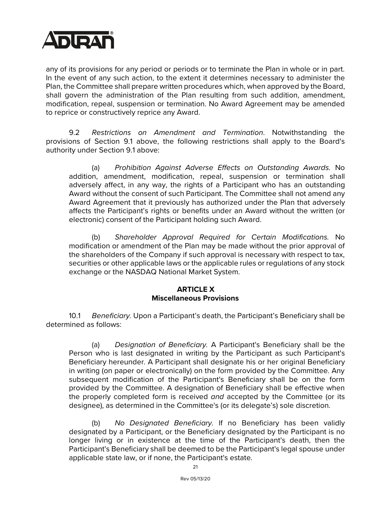

any of its provisions for any period or periods or to terminate the Plan in whole or in part. In the event of any such action, to the extent it determines necessary to administer the Plan, the Committee shall prepare written procedures which, when approved by the Board, shall govern the administration of the Plan resulting from such addition, amendment, modification, repeal, suspension or termination. No Award Agreement may be amended to reprice or constructively reprice any Award.

9.2 *Restrictions on Amendment and Termination*. Notwithstanding the provisions of Section 9.1 above, the following restrictions shall apply to the Board's authority under Section 9.1 above:

(a) *Prohibition Against Adverse Effects on Outstanding Awards.* No addition, amendment, modification, repeal, suspension or termination shall adversely affect, in any way, the rights of a Participant who has an outstanding Award without the consent of such Participant. The Committee shall not amend any Award Agreement that it previously has authorized under the Plan that adversely affects the Participant's rights or benefits under an Award without the written (or electronic) consent of the Participant holding such Award.

(b) *Shareholder Approval Required for Certain Modifications.* No modification or amendment of the Plan may be made without the prior approval of the shareholders of the Company if such approval is necessary with respect to tax, securities or other applicable laws or the applicable rules or regulations of any stock exchange or the NASDAQ National Market System.

#### **ARTICLE X Miscellaneous Provisions**

10.1 *Beneficiary.* Upon a Participant's death, the Participant's Beneficiary shall be determined as follows:

(a) *Designation of Beneficiary.* A Participant's Beneficiary shall be the Person who is last designated in writing by the Participant as such Participant's Beneficiary hereunder. A Participant shall designate his or her original Beneficiary in writing (on paper or electronically) on the form provided by the Committee. Any subsequent modification of the Participant's Beneficiary shall be on the form provided by the Committee. A designation of Beneficiary shall be effective when the properly completed form is received *and* accepted by the Committee (or its designee), as determined in the Committee's (or its delegate's) sole discretion.

(b) *No Designated Beneficiary.* If no Beneficiary has been validly designated by a Participant, or the Beneficiary designated by the Participant is no longer living or in existence at the time of the Participant's death, then the Participant's Beneficiary shall be deemed to be the Participant's legal spouse under applicable state law, or if none, the Participant's estate.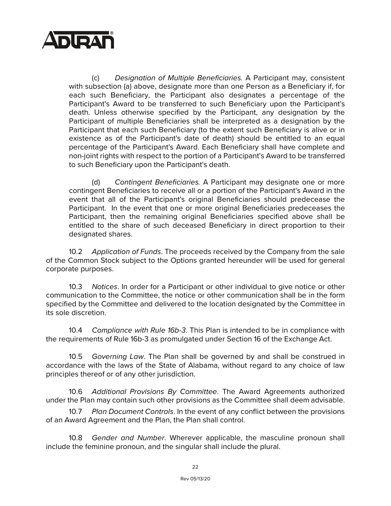

(c) *Designation of Multiple Beneficiaries.* A Participant may, consistent with subsection (a) above, designate more than one Person as a Beneficiary if, for each such Beneficiary, the Participant also designates a percentage of the Participant's Award to be transferred to such Beneficiary upon the Participant's death. Unless otherwise specified by the Participant, any designation by the Participant of multiple Beneficiaries shall be interpreted as a designation by the Participant that each such Beneficiary (to the extent such Beneficiary is alive or in existence as of the Participant's date of death) should be entitled to an equal percentage of the Participant's Award. Each Beneficiary shall have complete and non-joint rights with respect to the portion of a Participant's Award to be transferred to such Beneficiary upon the Participant's death.

(d) *Contingent Beneficiaries.* A Participant may designate one or more contingent Beneficiaries to receive all or a portion of the Participant's Award in the event that all of the Participant's original Beneficiaries should predecease the Participant. In the event that one or more original Beneficiaries predeceases the Participant, then the remaining original Beneficiaries specified above shall be entitled to the share of such deceased Beneficiary in direct proportion to their designated shares.

10.2 *Application of Funds*. The proceeds received by the Company from the sale of the Common Stock subject to the Options granted hereunder will be used for general corporate purposes.

10.3 *Notices*. In order for a Participant or other individual to give notice or other communication to the Committee, the notice or other communication shall be in the form specified by the Committee and delivered to the location designated by the Committee in its sole discretion.

10.4 *Compliance with Rule 16b-3*. This Plan is intended to be in compliance with the requirements of Rule 16b-3 as promulgated under Section 16 of the Exchange Act.

10.5 *Governing Law*. The Plan shall be governed by and shall be construed in accordance with the laws of the State of Alabama, without regard to any choice of law principles thereof or of any other jurisdiction.

10.6 *Additional Provisions By Committee*. The Award Agreements authorized under the Plan may contain such other provisions as the Committee shall deem advisable.

10.7 *Plan Document Controls*. In the event of any conflict between the provisions of an Award Agreement and the Plan, the Plan shall control.

10.8 *Gender and Number*. Wherever applicable, the masculine pronoun shall include the feminine pronoun, and the singular shall include the plural.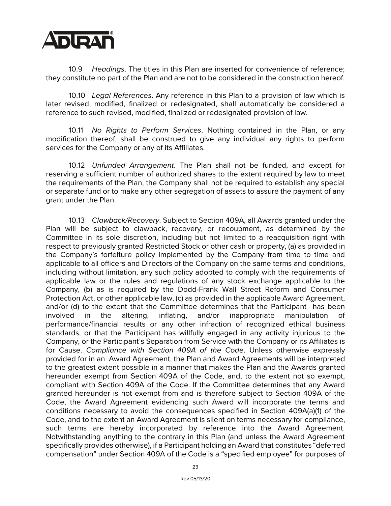

10.9 *Headings*. The titles in this Plan are inserted for convenience of reference; they constitute no part of the Plan and are not to be considered in the construction hereof.

10.10 *Legal References*. Any reference in this Plan to a provision of law which is later revised, modified, finalized or redesignated, shall automatically be considered a reference to such revised, modified, finalized or redesignated provision of law.

10.11 *No Rights to Perform Services*. Nothing contained in the Plan, or any modification thereof, shall be construed to give any individual any rights to perform services for the Company or any of its Affiliates.

10.12 *Unfunded Arrangement*. The Plan shall not be funded, and except for reserving a sufficient number of authorized shares to the extent required by law to meet the requirements of the Plan, the Company shall not be required to establish any special or separate fund or to make any other segregation of assets to assure the payment of any grant under the Plan.

10.13 *Clawback/Recovery*. Subject to Section 409A, all Awards granted under the Plan will be subject to clawback, recovery, or recoupment, as determined by the Committee in its sole discretion, including but not limited to a reacquisition right with respect to previously granted Restricted Stock or other cash or property, (a) as provided in the Company's forfeiture policy implemented by the Company from time to time and applicable to all officers and Directors of the Company on the same terms and conditions, including without limitation, any such policy adopted to comply with the requirements of applicable law or the rules and regulations of any stock exchange applicable to the Company, (b) as is required by the Dodd-Frank Wall Street Reform and Consumer Protection Act, or other applicable law, (c) as provided in the applicable Award Agreement, and/or (d) to the extent that the Committee determines that the Participant has been involved in the altering, inflating, and/or inappropriate manipulation of performance/financial results or any other infraction of recognized ethical business standards, or that the Participant has willfully engaged in any activity injurious to the Company, or the Participant's Separation from Service with the Company or its Affiliates is for Cause. *Compliance with Section 409A of the Code*. Unless otherwise expressly provided for in an Award Agreement, the Plan and Award Agreements will be interpreted to the greatest extent possible in a manner that makes the Plan and the Awards granted hereunder exempt from Section 409A of the Code, and, to the extent not so exempt, compliant with Section 409A of the Code. If the Committee determines that any Award granted hereunder is not exempt from and is therefore subject to Section 409A of the Code, the Award Agreement evidencing such Award will incorporate the terms and conditions necessary to avoid the consequences specified in Section 409A(a)(1) of the Code, and to the extent an Award Agreement is silent on terms necessary for compliance, such terms are hereby incorporated by reference into the Award Agreement. Notwithstanding anything to the contrary in this Plan (and unless the Award Agreement specifically provides otherwise), if a Participant holding an Award that constitutes "deferred compensation" under Section 409A of the Code is a "specified employee" for purposes of